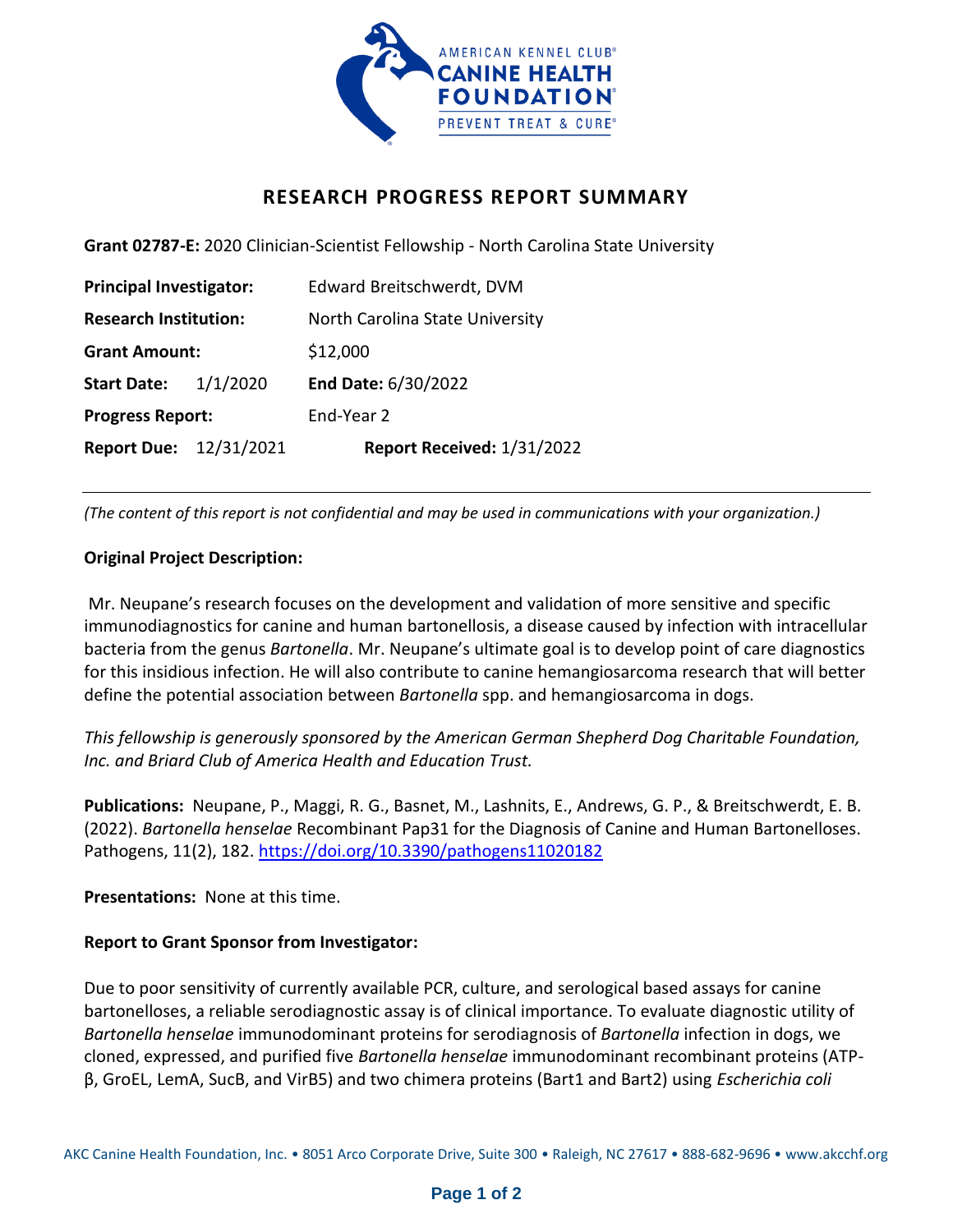

## **RESEARCH PROGRESS REPORT SUMMARY**

**Grant 02787-E:** 2020 Clinician-Scientist Fellowship - North Carolina State University

| <b>Principal Investigator:</b> |          | Edward Breitschwerdt, DVM       |
|--------------------------------|----------|---------------------------------|
| <b>Research Institution:</b>   |          | North Carolina State University |
| <b>Grant Amount:</b>           |          | \$12,000                        |
| <b>Start Date:</b>             | 1/1/2020 | End Date: 6/30/2022             |
| <b>Progress Report:</b>        |          | End-Year 2                      |
| <b>Report Due: 12/31/2021</b>  |          | Report Received: 1/31/2022      |

*(The content of this report is not confidential and may be used in communications with your organization.)*

## **Original Project Description:**

Mr. Neupane's research focuses on the development and validation of more sensitive and specific immunodiagnostics for canine and human bartonellosis, a disease caused by infection with intracellular bacteria from the genus *Bartonella*. Mr. Neupane's ultimate goal is to develop point of care diagnostics for this insidious infection. He will also contribute to canine hemangiosarcoma research that will better define the potential association between *Bartonella* spp. and hemangiosarcoma in dogs.

*This fellowship is generously sponsored by the American German Shepherd Dog Charitable Foundation, Inc. and Briard Club of America Health and Education Trust.*

**Publications:** Neupane, P., Maggi, R. G., Basnet, M., Lashnits, E., Andrews, G. P., & Breitschwerdt, E. B. (2022). *Bartonella henselae* Recombinant Pap31 for the Diagnosis of Canine and Human Bartonelloses. Pathogens, 11(2), 182.<https://doi.org/10.3390/pathogens11020182>

**Presentations:** None at this time.

## **Report to Grant Sponsor from Investigator:**

Due to poor sensitivity of currently available PCR, culture, and serological based assays for canine bartonelloses, a reliable serodiagnostic assay is of clinical importance. To evaluate diagnostic utility of *Bartonella henselae* immunodominant proteins for serodiagnosis of *Bartonella* infection in dogs, we cloned, expressed, and purified five *Bartonella henselae* immunodominant recombinant proteins (ATPβ, GroEL, LemA, SucB, and VirB5) and two chimera proteins (Bart1 and Bart2) using *Escherichia coli*